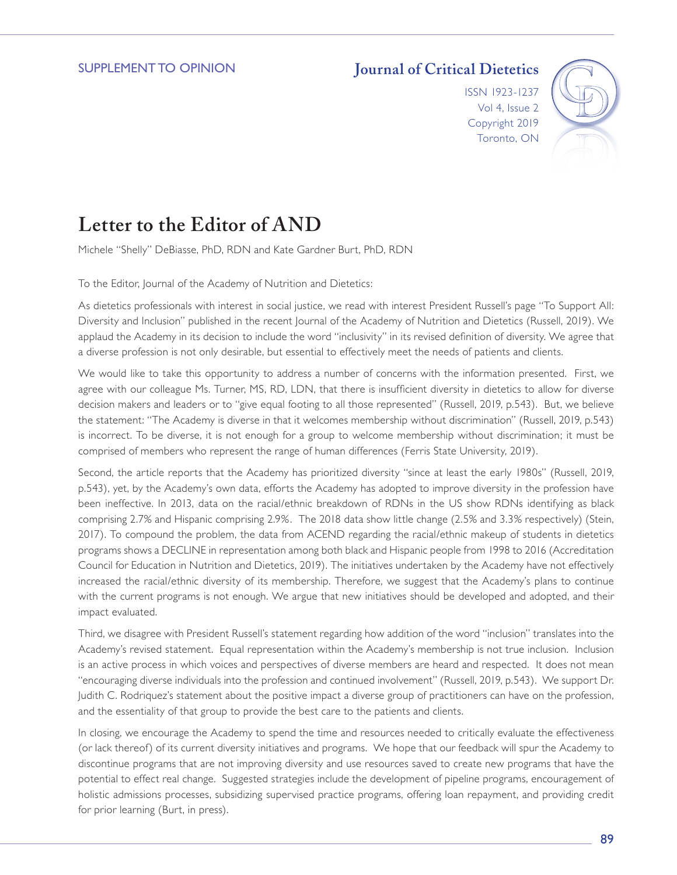## **Journal of Critical Dietetics**

ISSN 1923-1237 Vol 4, Issue 2 Copyright 2019 Toronto, ON



## **Letter to the Editor of AND**

Michele "Shelly" DeBiasse, PhD, RDN and Kate Gardner Burt, PhD, RDN

To the Editor, Journal of the Academy of Nutrition and Dietetics:

As dietetics professionals with interest in social justice, we read with interest President Russell's page "To Support All: Diversity and Inclusion" published in the recent Journal of the Academy of Nutrition and Dietetics (Russell, 2019). We applaud the Academy in its decision to include the word "inclusivity" in its revised definition of diversity. We agree that a diverse profession is not only desirable, but essential to effectively meet the needs of patients and clients.

We would like to take this opportunity to address a number of concerns with the information presented. First, we agree with our colleague Ms. Turner, MS, RD, LDN, that there is insufficient diversity in dietetics to allow for diverse decision makers and leaders or to "give equal footing to all those represented" (Russell, 2019, p.543). But, we believe the statement: "The Academy is diverse in that it welcomes membership without discrimination" (Russell, 2019, p.543) is incorrect. To be diverse, it is not enough for a group to welcome membership without discrimination; it must be comprised of members who represent the range of human differences (Ferris State University, 2019).

Second, the article reports that the Academy has prioritized diversity "since at least the early 1980s" (Russell, 2019, p.543), yet, by the Academy's own data, efforts the Academy has adopted to improve diversity in the profession have been ineffective. In 2013, data on the racial/ethnic breakdown of RDNs in the US show RDNs identifying as black comprising 2.7% and Hispanic comprising 2.9%. The 2018 data show little change (2.5% and 3.3% respectively) (Stein, 2017). To compound the problem, the data from ACEND regarding the racial/ethnic makeup of students in dietetics programs shows a DECLINE in representation among both black and Hispanic people from 1998 to 2016 (Accreditation Council for Education in Nutrition and Dietetics, 2019). The initiatives undertaken by the Academy have not effectively increased the racial/ethnic diversity of its membership. Therefore, we suggest that the Academy's plans to continue with the current programs is not enough. We argue that new initiatives should be developed and adopted, and their impact evaluated.

Third, we disagree with President Russell's statement regarding how addition of the word "inclusion" translates into the Academy's revised statement. Equal representation within the Academy's membership is not true inclusion. Inclusion is an active process in which voices and perspectives of diverse members are heard and respected. It does not mean "encouraging diverse individuals into the profession and continued involvement" (Russell, 2019, p.543). We support Dr. Judith C. Rodriquez's statement about the positive impact a diverse group of practitioners can have on the profession, and the essentiality of that group to provide the best care to the patients and clients.

In closing, we encourage the Academy to spend the time and resources needed to critically evaluate the effectiveness (or lack thereof) of its current diversity initiatives and programs. We hope that our feedback will spur the Academy to discontinue programs that are not improving diversity and use resources saved to create new programs that have the potential to effect real change. Suggested strategies include the development of pipeline programs, encouragement of holistic admissions processes, subsidizing supervised practice programs, offering loan repayment, and providing credit for prior learning (Burt, in press).